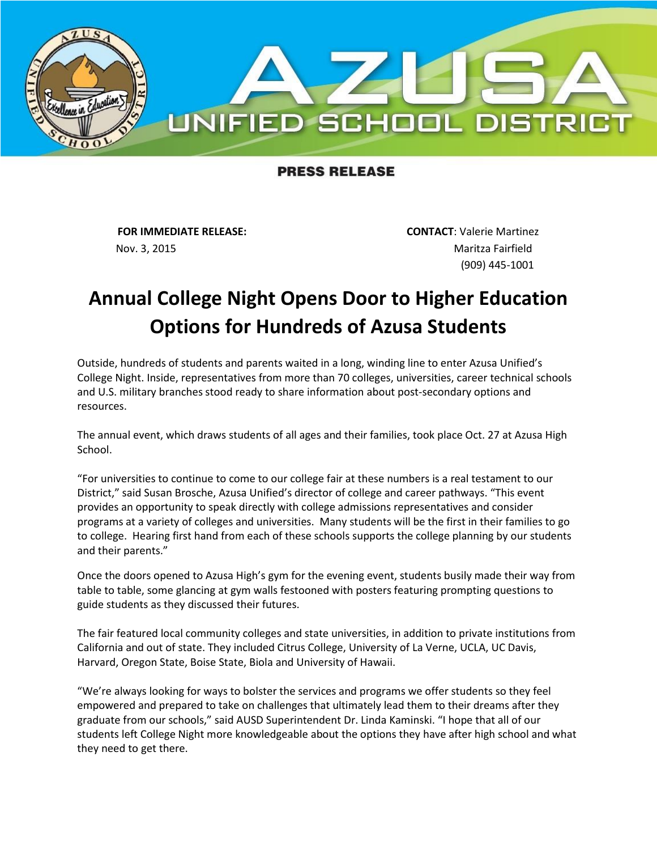

## **PRESS RELEASE**

Nov. 3, 2015 **Maritza Fairfield** 

**FOR IMMEDIATE RELEASE: CONTACT**: Valerie Martinez (909) 445-1001

## **Annual College Night Opens Door to Higher Education Options for Hundreds of Azusa Students**

Outside, hundreds of students and parents waited in a long, winding line to enter Azusa Unified's College Night. Inside, representatives from more than 70 colleges, universities, career technical schools and U.S. military branches stood ready to share information about post-secondary options and resources.

The annual event, which draws students of all ages and their families, took place Oct. 27 at Azusa High School.

"For universities to continue to come to our college fair at these numbers is a real testament to our District," said Susan Brosche, Azusa Unified's director of college and career pathways. "This event provides an opportunity to speak directly with college admissions representatives and consider programs at a variety of colleges and universities. Many students will be the first in their families to go to college. Hearing first hand from each of these schools supports the college planning by our students and their parents."

Once the doors opened to Azusa High's gym for the evening event, students busily made their way from table to table, some glancing at gym walls festooned with posters featuring prompting questions to guide students as they discussed their futures.

The fair featured local community colleges and state universities, in addition to private institutions from California and out of state. They included Citrus College, University of La Verne, UCLA, UC Davis, Harvard, Oregon State, Boise State, Biola and University of Hawaii.

"We're always looking for ways to bolster the services and programs we offer students so they feel empowered and prepared to take on challenges that ultimately lead them to their dreams after they graduate from our schools," said AUSD Superintendent Dr. Linda Kaminski. "I hope that all of our students left College Night more knowledgeable about the options they have after high school and what they need to get there.